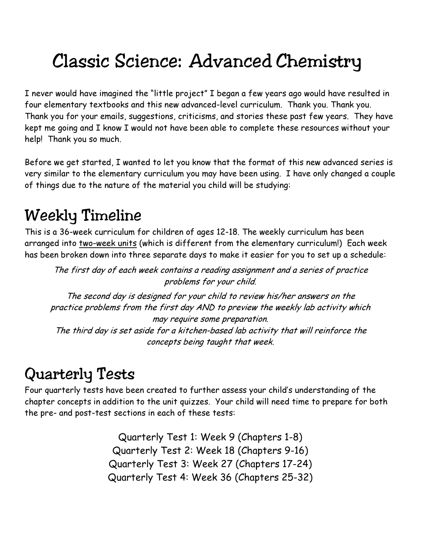# Classic Science: Advanced Chemistry

I never would have imagined the "little project" I began a few years ago would have resulted in four elementary textbooks and this new advanced-level curriculum. Thank you. Thank you. Thank you for your emails, suggestions, criticisms, and stories these past few years. They have kept me going and I know I would not have been able to complete these resources without your help! Thank you so much.

Before we get started, I wanted to let you know that the format of this new advanced series is very similar to the elementary curriculum you may have been using. I have only changed a couple of things due to the nature of the material you child will be studying:

## Weekly Timeline

This is a 36-week curriculum for children of ages 12-18. The weekly curriculum has been arranged into two-week units (which is different from the elementary curriculum!) Each week has been broken down into three separate days to make it easier for you to set up a schedule:

The first day of each week contains a reading assignment and a series of practice problems for your child.

The second day is designed for your child to review his/her answers on the practice problems from the first day AND to preview the weekly lab activity which may require some preparation. The third day is set aside for a kitchen-based lab activity that will reinforce the concepts being taught that week.

## Quarterly Tests

Four quarterly tests have been created to further assess your child's understanding of the chapter concepts in addition to the unit quizzes. Your child will need time to prepare for both the pre- and post-test sections in each of these tests:

> Quarterly Test 1: Week 9 (Chapters 1-8) Quarterly Test 2: Week 18 (Chapters 9-16) Quarterly Test 3: Week 27 (Chapters 17-24) Quarterly Test 4: Week 36 (Chapters 25-32)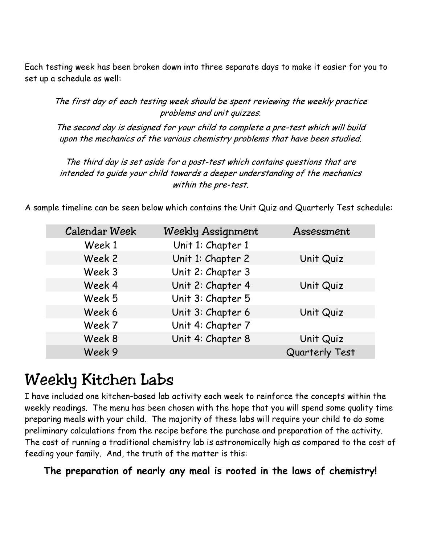Each testing week has been broken down into three separate days to make it easier for you to set up a schedule as well:

The first day of each testing week should be spent reviewing the weekly practice problems and unit quizzes.

The second day is designed for your child to complete a pre-test which will build upon the mechanics of the various chemistry problems that have been studied.

The third day is set aside for a post-test which contains questions that are intended to guide your child towards a deeper understanding of the mechanics within the pre-test.

A sample timeline can be seen below which contains the Unit Quiz and Quarterly Test schedule:

| Calendar Week | <b>Weekly Assignment</b> | Assessment            |
|---------------|--------------------------|-----------------------|
| Week 1        | Unit 1: Chapter 1        |                       |
| Week 2        | Unit 1: Chapter 2        | Unit Quiz             |
| Week 3        | Unit 2: Chapter 3        |                       |
| Week 4        | Unit 2: Chapter 4        | Unit Quiz             |
| Week 5        | Unit 3: Chapter 5        |                       |
| Week 6        | Unit 3: Chapter 6        | Unit Quiz             |
| Week 7        | Unit 4: Chapter 7        |                       |
| Week 8        | Unit 4: Chapter 8        | Unit Quiz             |
| Week 9        |                          | <b>Quarterly Test</b> |

### Weekly Kitchen Labs

I have included one kitchen-based lab activity each week to reinforce the concepts within the weekly readings. The menu has been chosen with the hope that you will spend some quality time preparing meals with your child. The majority of these labs will require your child to do some preliminary calculations from the recipe before the purchase and preparation of the activity. The cost of running a traditional chemistry lab is astronomically high as compared to the cost of feeding your family. And, the truth of the matter is this:

#### The preparation of nearly any meal is rooted in the laws of chemistry!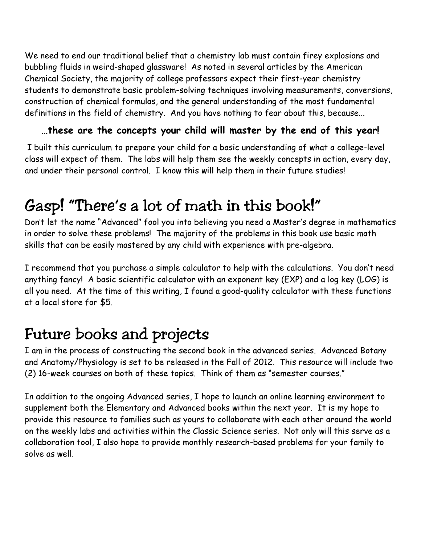We need to end our traditional belief that a chemistry lab must contain firey explosions and bubbling fluids in weird-shaped glassware! As noted in several articles by the American Chemical Society, the majority of college professors expect their first-year chemistry students to demonstrate basic problem-solving techniques involving measurements, conversions, construction of chemical formulas, and the general understanding of the most fundamental definitions in the field of chemistry. And you have nothing to fear about this, because...

#### …these are the concepts your child will master by the end of this year!

 I built this curriculum to prepare your child for a basic understanding of what a college-level class will expect of them. The labs will help them see the weekly concepts in action, every day, and under their personal control. I know this will help them in their future studies!

### Gasp! "There's a lot of math in this book!"

Don't let the name "Advanced" fool you into believing you need a Master's degree in mathematics in order to solve these problems! The majority of the problems in this book use basic math skills that can be easily mastered by any child with experience with pre-algebra.

I recommend that you purchase a simple calculator to help with the calculations. You don't need anything fancy! A basic scientific calculator with an exponent key (EXP) and a log key (LOG) is all you need. At the time of this writing, I found a good-quality calculator with these functions at a local store for \$5.

### Future books and projects

I am in the process of constructing the second book in the advanced series. Advanced Botany and Anatomy/Physiology is set to be released in the Fall of 2012. This resource will include two (2) 16-week courses on both of these topics. Think of them as "semester courses."

In addition to the ongoing Advanced series, I hope to launch an online learning environment to supplement both the Elementary and Advanced books within the next year. It is my hope to provide this resource to families such as yours to collaborate with each other around the world on the weekly labs and activities within the Classic Science series. Not only will this serve as a collaboration tool, I also hope to provide monthly research-based problems for your family to solve as well.